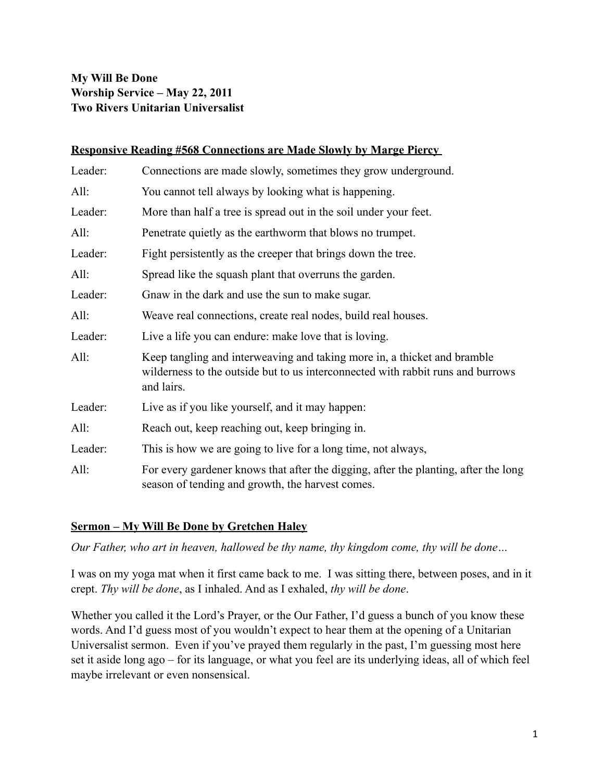## **My Will Be Done Worship Service – May 22, 2011 Two Rivers Unitarian Universalist**

## **Responsive Reading #568 Connections are Made Slowly by Marge Piercy**

| Leader: | Connections are made slowly, sometimes they grow underground.                                                                                                             |
|---------|---------------------------------------------------------------------------------------------------------------------------------------------------------------------------|
| All:    | You cannot tell always by looking what is happening.                                                                                                                      |
| Leader: | More than half a tree is spread out in the soil under your feet.                                                                                                          |
| All:    | Penetrate quietly as the earthworm that blows no trumpet.                                                                                                                 |
| Leader: | Fight persistently as the creeper that brings down the tree.                                                                                                              |
| All:    | Spread like the squash plant that overruns the garden.                                                                                                                    |
| Leader: | Gnaw in the dark and use the sun to make sugar.                                                                                                                           |
| All:    | Weave real connections, create real nodes, build real houses.                                                                                                             |
| Leader: | Live a life you can endure: make love that is loving.                                                                                                                     |
| All:    | Keep tangling and interweaving and taking more in, a thicket and bramble<br>wilderness to the outside but to us interconnected with rabbit runs and burrows<br>and lairs. |
| Leader: | Live as if you like yourself, and it may happen:                                                                                                                          |
| All:    | Reach out, keep reaching out, keep bringing in.                                                                                                                           |
| Leader: | This is how we are going to live for a long time, not always,                                                                                                             |
| All:    | For every gardener knows that after the digging, after the planting, after the long<br>season of tending and growth, the harvest comes.                                   |

## **Sermon – My Will Be Done by Gretchen Haley**

*Our Father, who art in heaven, hallowed be thy name, thy kingdom come, thy will be done…*

I was on my yoga mat when it first came back to me. I was sitting there, between poses, and in it crept. *Thy will be done*, as I inhaled. And as I exhaled, *thy will be done*.

Whether you called it the Lord's Prayer, or the Our Father, I'd guess a bunch of you know these words. And I'd guess most of you wouldn't expect to hear them at the opening of a Unitarian Universalist sermon. Even if you've prayed them regularly in the past, I'm guessing most here set it aside long ago – for its language, or what you feel are its underlying ideas, all of which feel maybe irrelevant or even nonsensical.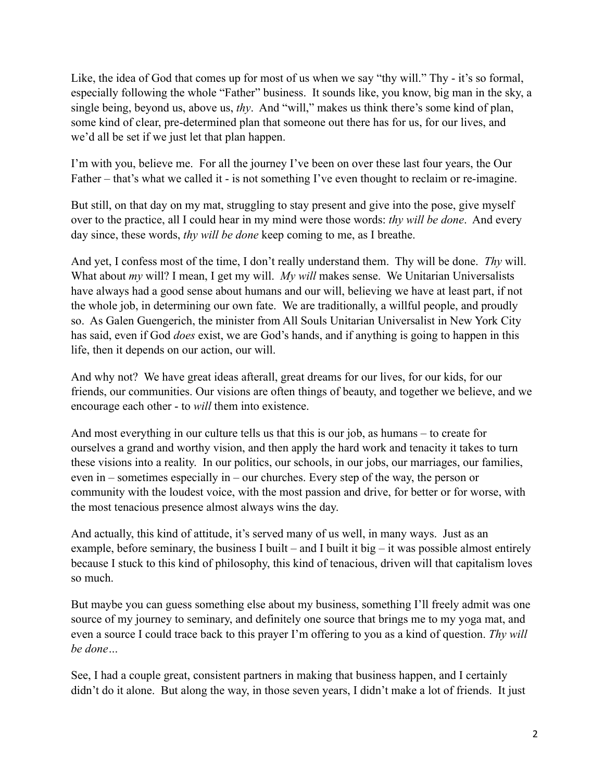Like, the idea of God that comes up for most of us when we say "thy will." Thy - it's so formal, especially following the whole "Father" business. It sounds like, you know, big man in the sky, a single being, beyond us, above us, *thy*. And "will," makes us think there's some kind of plan, some kind of clear, pre-determined plan that someone out there has for us, for our lives, and we'd all be set if we just let that plan happen.

I'm with you, believe me. For all the journey I've been on over these last four years, the Our Father – that's what we called it - is not something I've even thought to reclaim or re-imagine.

But still, on that day on my mat, struggling to stay present and give into the pose, give myself over to the practice, all I could hear in my mind were those words: *thy will be done*. And every day since, these words, *thy will be done* keep coming to me, as I breathe.

And yet, I confess most of the time, I don't really understand them. Thy will be done. *Thy* will. What about *my* will? I mean, I get my will. *My will* makes sense. We Unitarian Universalists have always had a good sense about humans and our will, believing we have at least part, if not the whole job, in determining our own fate. We are traditionally, a willful people, and proudly so. As Galen Guengerich, the minister from All Souls Unitarian Universalist in New York City has said, even if God *does* exist, we are God's hands, and if anything is going to happen in this life, then it depends on our action, our will.

And why not? We have great ideas afterall, great dreams for our lives, for our kids, for our friends, our communities. Our visions are often things of beauty, and together we believe, and we encourage each other - to *will* them into existence.

And most everything in our culture tells us that this is our job, as humans – to create for ourselves a grand and worthy vision, and then apply the hard work and tenacity it takes to turn these visions into a reality. In our politics, our schools, in our jobs, our marriages, our families, even in – sometimes especially in – our churches. Every step of the way, the person or community with the loudest voice, with the most passion and drive, for better or for worse, with the most tenacious presence almost always wins the day.

And actually, this kind of attitude, it's served many of us well, in many ways. Just as an example, before seminary, the business I built – and I built it big – it was possible almost entirely because I stuck to this kind of philosophy, this kind of tenacious, driven will that capitalism loves so much.

But maybe you can guess something else about my business, something I'll freely admit was one source of my journey to seminary, and definitely one source that brings me to my yoga mat, and even a source I could trace back to this prayer I'm offering to you as a kind of question. *Thy will be done…*

See, I had a couple great, consistent partners in making that business happen, and I certainly didn't do it alone. But along the way, in those seven years, I didn't make a lot of friends. It just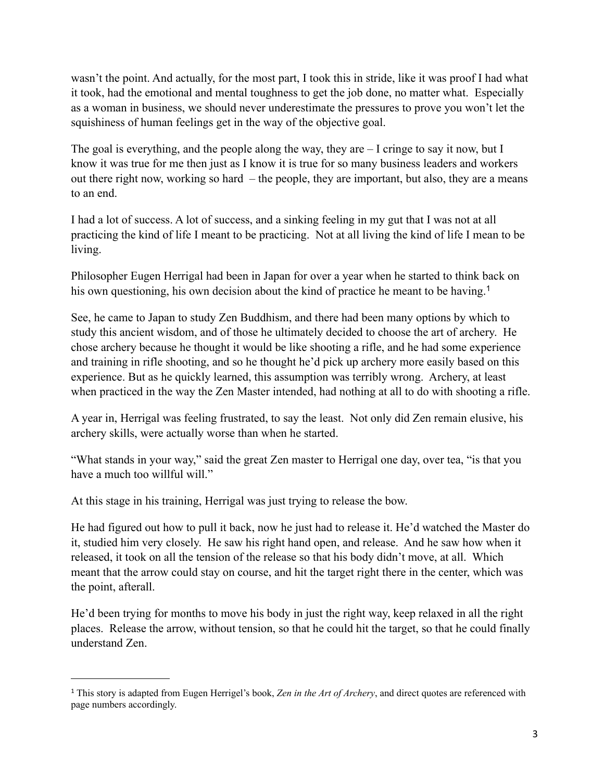wasn't the point. And actually, for the most part, I took this in stride, like it was proof I had what it took, had the emotional and mental toughness to get the job done, no matter what. Especially as a woman in business, we should never underestimate the pressures to prove you won't let the squishiness of human feelings get in the way of the objective goal.

The goal is everything, and the people along the way, they are – I cringe to say it now, but I know it was true for me then just as I know it is true for so many business leaders and workers out there right now, working so hard – the people, they are important, but also, they are a means to an end.

I had a lot of success. A lot of success, and a sinking feeling in my gut that I was not at all practicing the kind of life I meant to be practicing. Not at all living the kind of life I mean to be living.

Philosopher Eugen Herrigal had been in Japan for over a year when he started to think back on his own questioning, his own decision about the kind of practice he meant to be having.<sup>[1](#page-2-0)</sup>

See, he came to Japan to study Zen Buddhism, and there had been many options by which to study this ancient wisdom, and of those he ultimately decided to choose the art of archery. He chose archery because he thought it would be like shooting a rifle, and he had some experience and training in rifle shooting, and so he thought he'd pick up archery more easily based on this experience. But as he quickly learned, this assumption was terribly wrong. Archery, at least when practiced in the way the Zen Master intended, had nothing at all to do with shooting a rifle.

A year in, Herrigal was feeling frustrated, to say the least. Not only did Zen remain elusive, his archery skills, were actually worse than when he started.

"What stands in your way," said the great Zen master to Herrigal one day, over tea, "is that you have a much too willful will."

At this stage in his training, Herrigal was just trying to release the bow.

He had figured out how to pull it back, now he just had to release it. He'd watched the Master do it, studied him very closely. He saw his right hand open, and release. And he saw how when it released, it took on all the tension of the release so that his body didn't move, at all. Which meant that the arrow could stay on course, and hit the target right there in the center, which was the point, afterall.

He'd been trying for months to move his body in just the right way, keep relaxed in all the right places. Release the arrow, without tension, so that he could hit the target, so that he could finally understand Zen.

<span id="page-2-0"></span><sup>1</sup> This story is adapted from Eugen Herrigel's book, *Zen in the Art of Archery*, and direct quotes are referenced with page numbers accordingly.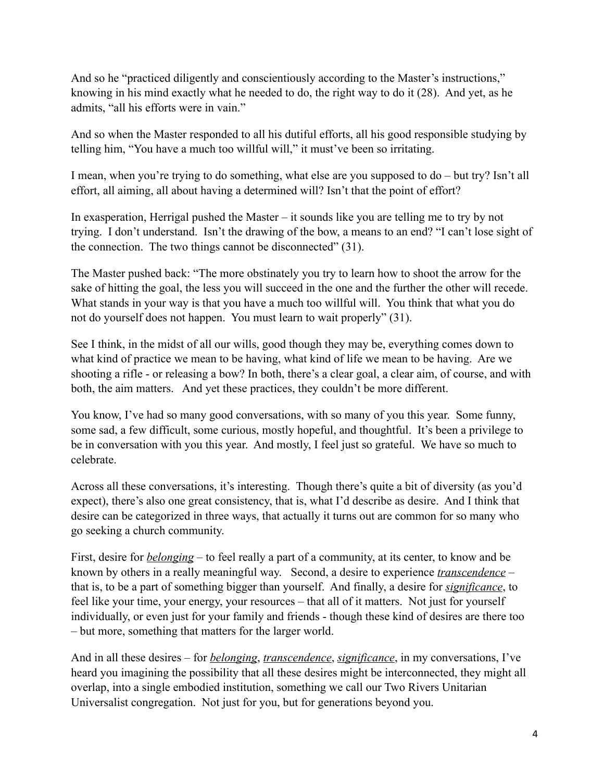And so he "practiced diligently and conscientiously according to the Master's instructions," knowing in his mind exactly what he needed to do, the right way to do it (28). And yet, as he admits, "all his efforts were in vain."

And so when the Master responded to all his dutiful efforts, all his good responsible studying by telling him, "You have a much too willful will," it must've been so irritating.

I mean, when you're trying to do something, what else are you supposed to do – but try? Isn't all effort, all aiming, all about having a determined will? Isn't that the point of effort?

In exasperation, Herrigal pushed the Master – it sounds like you are telling me to try by not trying. I don't understand. Isn't the drawing of the bow, a means to an end? "I can't lose sight of the connection. The two things cannot be disconnected" (31).

The Master pushed back: "The more obstinately you try to learn how to shoot the arrow for the sake of hitting the goal, the less you will succeed in the one and the further the other will recede. What stands in your way is that you have a much too willful will. You think that what you do not do yourself does not happen. You must learn to wait properly" (31).

See I think, in the midst of all our wills, good though they may be, everything comes down to what kind of practice we mean to be having, what kind of life we mean to be having. Are we shooting a rifle - or releasing a bow? In both, there's a clear goal, a clear aim, of course, and with both, the aim matters. And yet these practices, they couldn't be more different.

You know, I've had so many good conversations, with so many of you this year. Some funny, some sad, a few difficult, some curious, mostly hopeful, and thoughtful. It's been a privilege to be in conversation with you this year. And mostly, I feel just so grateful. We have so much to celebrate.

Across all these conversations, it's interesting. Though there's quite a bit of diversity (as you'd expect), there's also one great consistency, that is, what I'd describe as desire. And I think that desire can be categorized in three ways, that actually it turns out are common for so many who go seeking a church community.

First, desire for *belonging* – to feel really a part of a community, at its center, to know and be known by others in a really meaningful way. Second, a desire to experience *transcendence* – that is, to be a part of something bigger than yourself. And finally, a desire for *significance*, to feel like your time, your energy, your resources – that all of it matters. Not just for yourself individually, or even just for your family and friends - though these kind of desires are there too – but more, something that matters for the larger world.

And in all these desires – for *belonging*, *transcendence*, *significance*, in my conversations, I've heard you imagining the possibility that all these desires might be interconnected, they might all overlap, into a single embodied institution, something we call our Two Rivers Unitarian Universalist congregation. Not just for you, but for generations beyond you.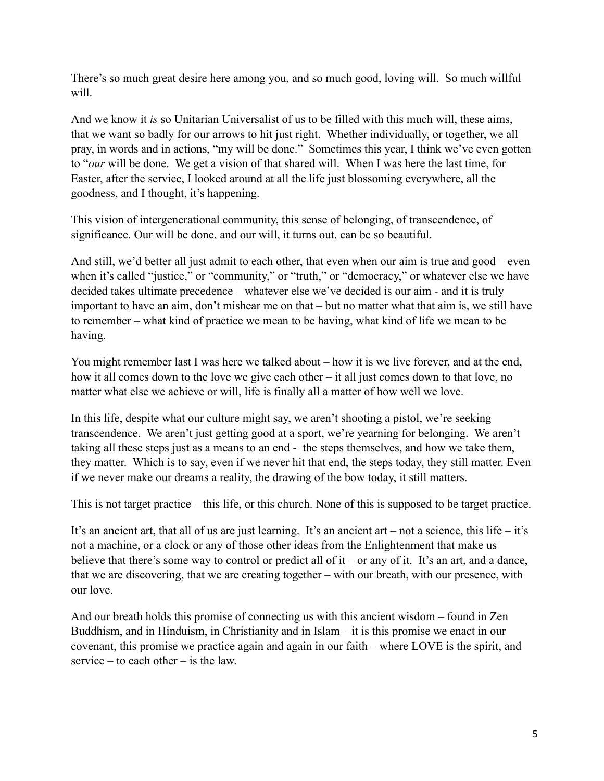There's so much great desire here among you, and so much good, loving will. So much willful will.

And we know it *is* so Unitarian Universalist of us to be filled with this much will, these aims, that we want so badly for our arrows to hit just right. Whether individually, or together, we all pray, in words and in actions, "my will be done." Sometimes this year, I think we've even gotten to "*our* will be done. We get a vision of that shared will. When I was here the last time, for Easter, after the service, I looked around at all the life just blossoming everywhere, all the goodness, and I thought, it's happening.

This vision of intergenerational community, this sense of belonging, of transcendence, of significance. Our will be done, and our will, it turns out, can be so beautiful.

And still, we'd better all just admit to each other, that even when our aim is true and good – even when it's called "justice," or "community," or "truth," or "democracy," or whatever else we have decided takes ultimate precedence – whatever else we've decided is our aim - and it is truly important to have an aim, don't mishear me on that – but no matter what that aim is, we still have to remember – what kind of practice we mean to be having, what kind of life we mean to be having.

You might remember last I was here we talked about – how it is we live forever, and at the end, how it all comes down to the love we give each other – it all just comes down to that love, no matter what else we achieve or will, life is finally all a matter of how well we love.

In this life, despite what our culture might say, we aren't shooting a pistol, we're seeking transcendence. We aren't just getting good at a sport, we're yearning for belonging. We aren't taking all these steps just as a means to an end - the steps themselves, and how we take them, they matter. Which is to say, even if we never hit that end, the steps today, they still matter. Even if we never make our dreams a reality, the drawing of the bow today, it still matters.

This is not target practice – this life, or this church. None of this is supposed to be target practice.

It's an ancient art, that all of us are just learning. It's an ancient art – not a science, this life – it's not a machine, or a clock or any of those other ideas from the Enlightenment that make us believe that there's some way to control or predict all of it – or any of it. It's an art, and a dance, that we are discovering, that we are creating together – with our breath, with our presence, with our love.

And our breath holds this promise of connecting us with this ancient wisdom – found in Zen Buddhism, and in Hinduism, in Christianity and in Islam – it is this promise we enact in our covenant, this promise we practice again and again in our faith – where LOVE is the spirit, and service – to each other – is the law.